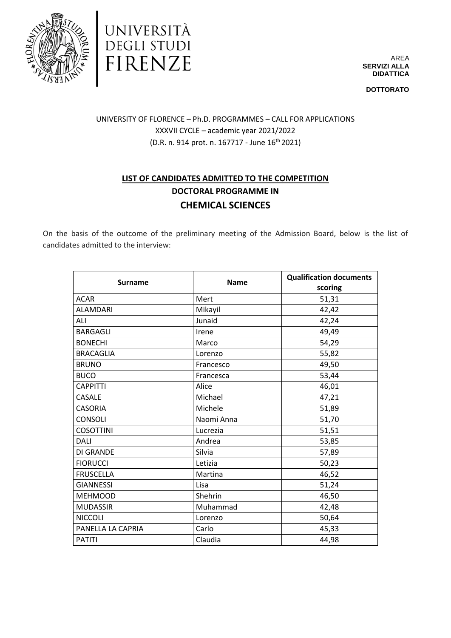



AREA **SERVIZI ALLA DIDATTICA**

**DOTTORATO**

## UNIVERSITY OF FLORENCE – Ph.D. PROGRAMMES – CALL FOR APPLICATIONS XXXVII CYCLE – academic year 2021/2022  $(D.R. n. 914 \text{ prot. } n. 167717 - \text{June } 16^{\text{th}} 2021)$

## **LIST OF CANDIDATES ADMITTED TO THE COMPETITION DOCTORAL PROGRAMME IN CHEMICAL SCIENCES**

On the basis of the outcome of the preliminary meeting of the Admission Board, below is the list of candidates admitted to the interview:

| <b>Surname</b>    | <b>Name</b> | <b>Qualification documents</b> |
|-------------------|-------------|--------------------------------|
|                   |             | scoring                        |
| <b>ACAR</b>       | Mert        | 51,31                          |
| <b>ALAMDARI</b>   | Mikayil     | 42,42                          |
| ALI               | Junaid      | 42,24                          |
| <b>BARGAGLI</b>   | Irene       | 49,49                          |
| <b>BONECHI</b>    | Marco       | 54,29                          |
| <b>BRACAGLIA</b>  | Lorenzo     | 55,82                          |
| <b>BRUNO</b>      | Francesco   | 49,50                          |
| <b>BUCO</b>       | Francesca   | 53,44                          |
| <b>CAPPITTI</b>   | Alice       | 46,01                          |
| CASALE            | Michael     | 47,21                          |
| <b>CASORIA</b>    | Michele     | 51,89                          |
| <b>CONSOLI</b>    | Naomi Anna  | 51,70                          |
| <b>COSOTTINI</b>  | Lucrezia    | 51,51                          |
| <b>DALI</b>       | Andrea      | 53,85                          |
| <b>DI GRANDE</b>  | Silvia      | 57,89                          |
| <b>FIORUCCI</b>   | Letizia     | 50,23                          |
| <b>FRUSCELLA</b>  | Martina     | 46,52                          |
| <b>GIANNESSI</b>  | Lisa        | 51,24                          |
| <b>MEHMOOD</b>    | Shehrin     | 46,50                          |
| <b>MUDASSIR</b>   | Muhammad    | 42,48                          |
| <b>NICCOLI</b>    | Lorenzo     | 50,64                          |
| PANELLA LA CAPRIA | Carlo       | 45,33                          |
| <b>PATITI</b>     | Claudia     | 44,98                          |